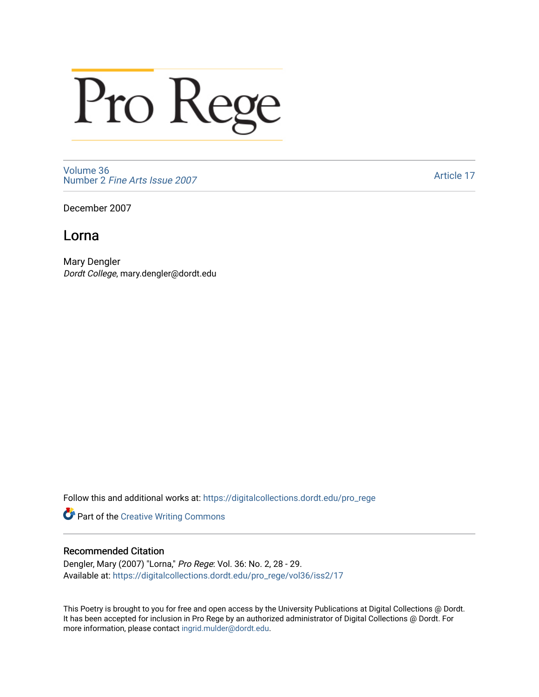## Pro Rege

[Volume 36](https://digitalcollections.dordt.edu/pro_rege/vol36) Number 2 [Fine Arts Issue 2007](https://digitalcollections.dordt.edu/pro_rege/vol36/iss2) 

[Article 17](https://digitalcollections.dordt.edu/pro_rege/vol36/iss2/17) 

December 2007

## Lorna

Mary Dengler Dordt College, mary.dengler@dordt.edu

Follow this and additional works at: [https://digitalcollections.dordt.edu/pro\\_rege](https://digitalcollections.dordt.edu/pro_rege?utm_source=digitalcollections.dordt.edu%2Fpro_rege%2Fvol36%2Fiss2%2F17&utm_medium=PDF&utm_campaign=PDFCoverPages) 

Part of the [Creative Writing Commons](http://network.bepress.com/hgg/discipline/574?utm_source=digitalcollections.dordt.edu%2Fpro_rege%2Fvol36%2Fiss2%2F17&utm_medium=PDF&utm_campaign=PDFCoverPages) 

## Recommended Citation

Dengler, Mary (2007) "Lorna," Pro Rege: Vol. 36: No. 2, 28 - 29. Available at: [https://digitalcollections.dordt.edu/pro\\_rege/vol36/iss2/17](https://digitalcollections.dordt.edu/pro_rege/vol36/iss2/17?utm_source=digitalcollections.dordt.edu%2Fpro_rege%2Fvol36%2Fiss2%2F17&utm_medium=PDF&utm_campaign=PDFCoverPages)

This Poetry is brought to you for free and open access by the University Publications at Digital Collections @ Dordt. It has been accepted for inclusion in Pro Rege by an authorized administrator of Digital Collections @ Dordt. For more information, please contact [ingrid.mulder@dordt.edu.](mailto:ingrid.mulder@dordt.edu)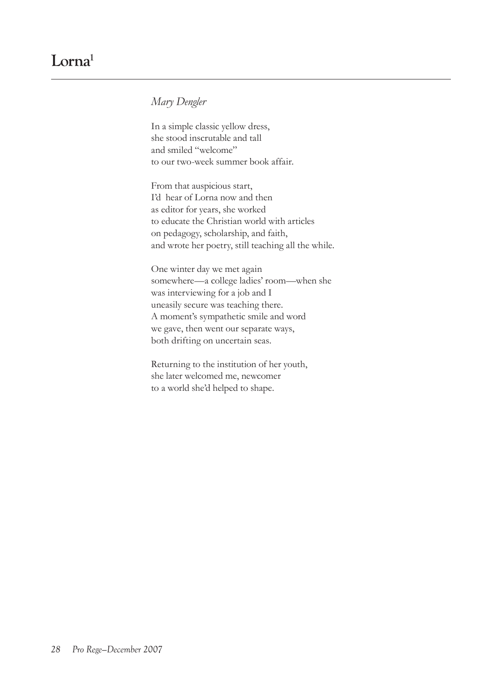## *Mary Dengler*

In a simple classic yellow dress, she stood inscrutable and tall and smiled "welcome" to our two-week summer book affair.

From that auspicious start, I'd hear of Lorna now and then as editor for years, she worked to educate the Christian world with articles on pedagogy, scholarship, and faith, and wrote her poetry, still teaching all the while.

One winter day we met again somewhere—a college ladies' room—when she was interviewing for a job and I uneasily secure was teaching there. A moment's sympathetic smile and word we gave, then went our separate ways, both drifting on uncertain seas.

Returning to the institution of her youth, she later welcomed me, newcomer to a world she'd helped to shape.